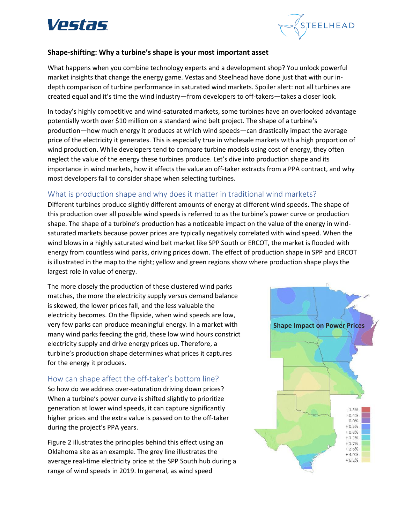



#### **Shape-shifting: Why a turbine's shape is your most important asset**

What happens when you combine technology experts and a development shop? You unlock powerful market insights that change the energy game. Vestas and Steelhead have done just that with our indepth comparison of turbine performance in saturated wind markets. Spoiler alert: not all turbines are created equal and it's time the wind industry—from developers to off-takers—takes a closer look.

In today's highly competitive and wind-saturated markets, some turbines have an overlooked advantage potentially worth over \$10 million on a standard wind belt project. The shape of a turbine's production—how much energy it produces at which wind speeds—can drastically impact the average price of the electricity it generates. This is especially true in wholesale markets with a high proportion of wind production. While developers tend to compare turbine models using cost of energy, they often neglect the value of the energy these turbines produce. Let's dive into production shape and its importance in wind markets, how it affects the value an off-taker extracts from a PPA contract, and why most developers fail to consider shape when selecting turbines.

## What is production shape and why does it matter in traditional wind markets?

Different turbines produce slightly different amounts of energy at different wind speeds. The shape of this production over all possible wind speeds is referred to as the turbine's power curve or production shape. The shape of a turbine's production has a noticeable impact on the value of the energy in windsaturated markets because power prices are typically negatively correlated with wind speed. When the wind blows in a highly saturated wind belt market like SPP South or ERCOT, the market is flooded with energy from countless wind parks, driving prices down. The effect of production shape in SPP and ERCOT is illustrated in the map to the right; yellow and green regions show where production shape plays the largest role in value of energy.

The more closely the production of these clustered wind parks matches, the more the electricity supply versus demand balance is skewed, the lower prices fall, and the less valuable the electricity becomes. On the flipside, when wind speeds are low, very few parks can produce meaningful energy. In a market with many wind parks feeding the grid, these low wind hours constrict electricity supply and drive energy prices up. Therefore, a turbine's production shape determines what prices it captures for the energy it produces.

## How can shape affect the off-taker's bottom line?

So how do we address over-saturation driving down prices? When a turbine's power curve is shifted slightly to prioritize generation at lower wind speeds, it can capture significantly higher prices and the extra value is passed on to the off-taker during the project's PPA years.

Figure 2 illustrates the principles behind this effect using an Oklahoma site as an example. The grey line illustrates the average real-time electricity price at the SPP South hub during a range of wind speeds in 2019. In general, as wind speed

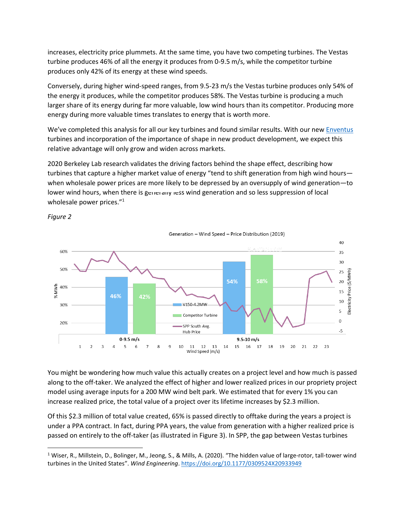increases, electricity price plummets. At the same time, you have two competing turbines. The Vestas turbine produces 46% of all the energy it produces from 0-9.5 m/s, while the competitor turbine produces only 42% of its energy at these wind speeds.

Conversely, during higher wind-speed ranges, from 9.5-23 m/s the Vestas turbine produces only 54% of the energy it produces, while the competitor produces 58%. The Vestas turbine is producing a much larger share of its energy during far more valuable, low wind hours than its competitor. Producing more energy during more valuable times translates to energy that is worth more.

We've completed this analysis for all our key turbines and found similar results. With our new **Enventus** turbines and incorporation of the importance of shape in new product development, we expect this relative advantage will only grow and widen across markets.

2020 Berkeley Lab research validates the driving factors behind the shape effect, describing how turbines that capture a higher market value of energy "tend to shift generation from high wind hours when wholesale power prices are more likely to be depressed by an oversupply of wind generation—to lower wind hours, when there is generally less wind generation and so less suppression of local wholesale power prices."<sup>1</sup>



*Figure 2*

You might be wondering how much value this actually creates on a project level and how much is passed along to the off-taker. We analyzed the effect of higher and lower realized prices in our propriety project model using average inputs for a 200 MW wind belt park. We estimated that for every 1% you can increase realized price, the total value of a project over its lifetime increases by \$2.3 million.

Of this \$2.3 million of total value created, 65% is passed directly to offtake during the years a project is under a PPA contract. In fact, during PPA years, the value from generation with a higher realized price is passed on entirely to the off-taker (as illustrated in Figure 3). In SPP, the gap between Vestas turbines

<sup>&</sup>lt;sup>1</sup> Wiser, R., Millstein, D., Bolinger, M., Jeong, S., & Mills, A. (2020). "The hidden value of large-rotor, tall-tower wind turbines in the United States". *Wind Engineering*. <https://doi.org/10.1177/0309524X20933949>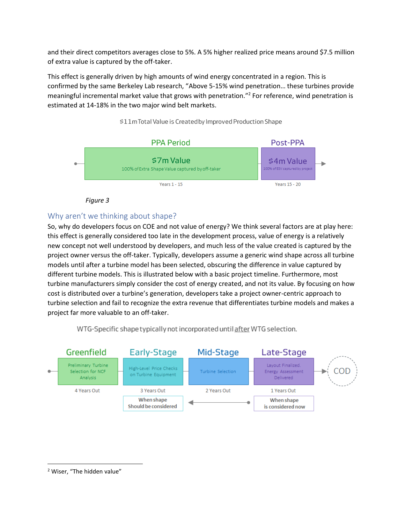and their direct competitors averages close to 5%. A 5% higher realized price means around \$7.5 million of extra value is captured by the off-taker.

This effect is generally driven by high amounts of wind energy concentrated in a region. This is confirmed by the same Berkeley Lab research, "Above 5-15% wind penetration… these turbines provide meaningful incremental market value that grows with penetration." 2 For reference, wind penetration is estimated at 14-18% in the two major wind belt markets.



### \$11m Total Value is Created by Improved Production Shape

 *Figure 3*

# Why aren't we thinking about shape?

So, why do developers focus on COE and not value of energy? We think several factors are at play here: this effect is generally considered too late in the development process, value of energy is a relatively new concept not well understood by developers, and much less of the value created is captured by the project owner versus the off-taker. Typically, developers assume a generic wind shape across all turbine models until after a turbine model has been selected, obscuring the difference in value captured by different turbine models. This is illustrated below with a basic project timeline. Furthermore, most turbine manufacturers simply consider the cost of energy created, and not its value. By focusing on how cost is distributed over a turbine's generation, developers take a project owner-centric approach to turbine selection and fail to recognize the extra revenue that differentiates turbine models and makes a project far more valuable to an off-taker.

WTG-Specific shape typically not incorporated until after WTG selection.



<sup>2</sup> Wiser, "The hidden value"